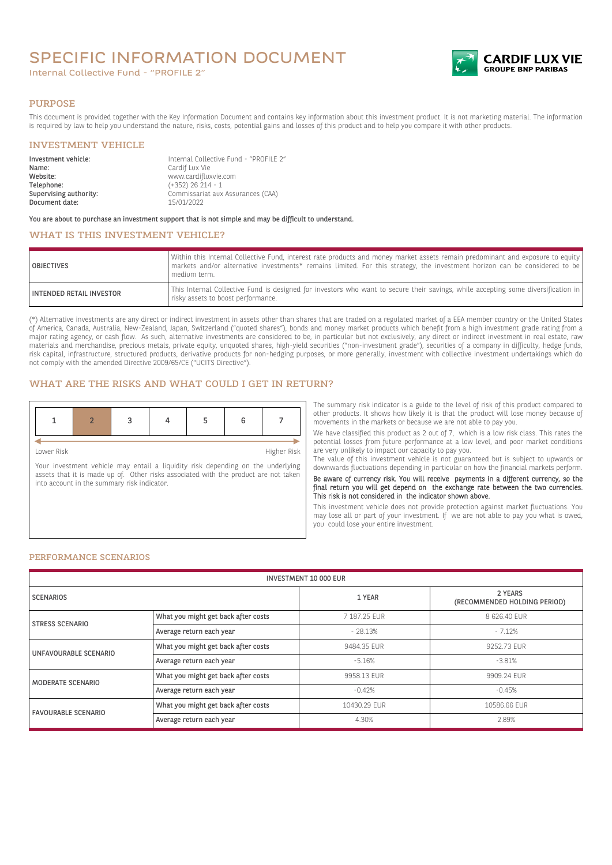# SPECIFIC INFORMATION DOCUMENT

Internal Collective Fund - "PROFILE 2"



#### PURPOSE

This document is provided together with the Key Information Document and contains key information about this investment product. It is not marketing material. The information is required by law to help you understand the nature, risks, costs, potential gains and losses of this product and to help you compare it with other products.

### INVESTMENT VEHICLE

| Investment vehicle:<br>Name: | Internal Collective Fund - "PROFILE 2"<br>Cardif Lux Vie |
|------------------------------|----------------------------------------------------------|
|                              |                                                          |
| Website:                     | www.cardifluxvie.com                                     |
| Telephone:                   | $(+352)$ 26 214 - 1                                      |
| Supervising authority:       | Commissariat aux Assurances (CAA)                        |
| Document date:               | 15/01/2022                                               |

You are about to purchase an investment support that is not simple and may be difficult to understand.

# WHAT IS THIS INVESTMENT VEHICLE?

| <b>OBJECTIVES</b>               | Within this Internal Collective Fund, interest rate products and money market assets remain predominant and exposure to equity<br>markets and/or alternative investments* remains limited. For this strategy, the investment horizon can be considered to be<br>medium term. |
|---------------------------------|------------------------------------------------------------------------------------------------------------------------------------------------------------------------------------------------------------------------------------------------------------------------------|
| <b>INTENDED RETAIL INVESTOR</b> | This Internal Collective Fund is designed for investors who want to secure their savings, while accepting some diversification in<br>risky assets to boost performance.                                                                                                      |

(\*) Alternative investments are any direct or indirect investment in assets other than shares that are traded on a regulated market of a EEA member country or the United States of America, Canada, Australia, New-Zealand, Japan, Switzerland ("quoted shares"), bonds and money market products which benefit from a high investment grade rating from a major rating agency, or cash flow. As such, alternative investments are considered to be, in particular but not exclusively, any direct or indirect investment in real estate, raw materials and merchandise, precious metals, private equity, unquoted shares, high-yield securities ("non-investment grade"), securities of a company in difficulty, hedge funds, risk capital, infrastructure, structured products, derivative products for non-hedging purposes, or more generally, investment with collective investment undertakings which do not comply with the amended Directive 2009/65/CE ("UCITS Directive").

## WHAT ARE THE RISKS AND WHAT COULD I GET IN RETURN?

| Lower Risk |  |  | Higher Risk |
|------------|--|--|-------------|

Your investment vehicle may entail a liquidity risk depending on the underlying assets that it is made up of. Other risks associated with the product are not taken into account in the summary risk indicator.

The summary risk indicator is a guide to the level of risk of this product compared to other products. It shows how likely it is that the product will lose money because of movements in the markets or because we are not able to pay you.

We have classified this product as 2 out of 7, which is a low risk class. This rates the potential losses from future performance at a low level, and poor market conditions are very unlikely to impact our capacity to pay you.

The value of this investment vehicle is not guaranteed but is subject to upwards or downwards fluctuations depending in particular on how the financial markets perform.

Be aware of currency risk. You will receive payments in a different currency, so the final return you will get depend on the exchange rate between the two currencies. This risk is not considered in the indicator shown above.

This investment vehicle does not provide protection against market fluctuations. You may lose all or part of your investment. If we are not able to pay you what is owed, you could lose your entire investment.

#### PERFORMANCE SCENARIOS

| <b>INVESTMENT 10 000 EUR</b> |                                     |              |                                         |
|------------------------------|-------------------------------------|--------------|-----------------------------------------|
| <b>SCENARIOS</b>             |                                     | 1 YEAR       | 2 YEARS<br>(RECOMMENDED HOLDING PERIOD) |
| <b>STRESS SCENARIO</b>       | What you might get back after costs | 7 187.25 EUR | 8 626,40 EUR                            |
|                              | Average return each year            | $-28.13%$    | $-7.12%$                                |
| UNFAVOURABLE SCENARIO        | What you might get back after costs | 9484.35 EUR  | 9252.73 EUR                             |
|                              | Average return each year            | $-5.16%$     | $-3.81%$                                |
| <b>MODERATE SCENARIO</b>     | What you might get back after costs | 9958.13 EUR  | 9909.24 EUR                             |
|                              | Average return each year            | $-0.42%$     | $-0.45%$                                |
| <b>FAVOURABLE SCENARIO</b>   | What you might get back after costs | 10430.29 EUR | 10586.66 EUR                            |
|                              | Average return each year            | 4.30%        | 2.89%                                   |